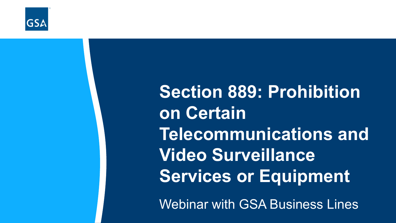

**Section 889: Prohibition on Certain Telecommunications and Video Surveillance Services or Equipment**

Webinar with GSA Business Lines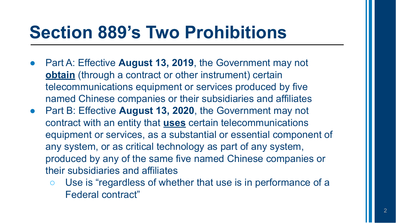#### **Section 889's Two Prohibitions**

- Part A: Effective **August 13, 2019**, the Government may not **obtain** (through a contract or other instrument) certain telecommunications equipment or services produced by five named Chinese companies or their subsidiaries and affiliates
- Part B: Effective **August 13, 2020**, the Government may not contract with an entity that **uses** certain telecommunications equipment or services, as a substantial or essential component of any system, or as critical technology as part of any system, produced by any of the same five named Chinese companies or their subsidiaries and affiliates
	- Use is "regardless of whether that use is in performance of a Federal contract"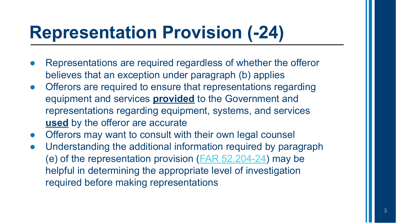## **Representation Provision (-24)**

- Representations are required regardless of whether the offeror believes that an exception under paragraph (b) applies
- Offerors are required to ensure that representations regarding equipment and services **provided** to the Government and representations regarding equipment, systems, and services **used** by the offeror are accurate
- Offerors may want to consult with their own legal counsel
- Understanding the additional information required by paragraph (e) of the representation provision ([FAR 52.204-24](https://www.acquisition.gov/far/part-52#FAR_52_204_24)) may be helpful in determining the appropriate level of investigation required before making representations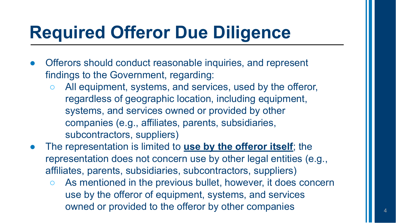## **Required Offeror Due Diligence**

- Offerors should conduct reasonable inquiries, and represent findings to the Government, regarding:
	- All equipment, systems, and services, used by the offeror, regardless of geographic location, including equipment, systems, and services owned or provided by other companies (e.g., affiliates, parents, subsidiaries, subcontractors, suppliers)
- The representation is limited to **use by the offeror itself**; the representation does not concern use by other legal entities (e.g., affiliates, parents, subsidiaries, subcontractors, suppliers)
	- As mentioned in the previous bullet, however, it does concern use by the offeror of equipment, systems, and services owned or provided to the offeror by other companies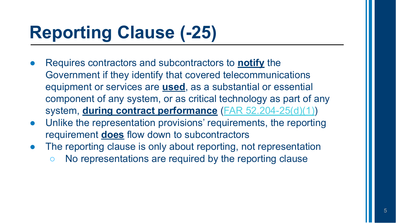# **Reporting Clause (-25)**

- Requires contractors and subcontractors to **notify** the Government if they identify that covered telecommunications equipment or services are **used**, as a substantial or essential component of any system, or as critical technology as part of any system, **during contract performance** ([FAR 52.204-25\(d\)\(1\)](https://www.acquisition.gov/far/part-52#FAR_52_204_25))
- Unlike the representation provisions' requirements, the reporting requirement **does** flow down to subcontractors
- The reporting clause is only about reporting, not representation
	- No representations are required by the reporting clause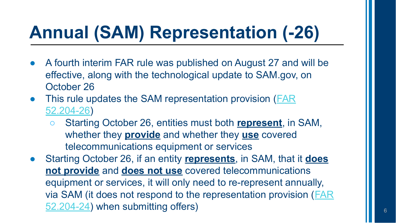# **Annual (SAM) Representation (-26)**

- A fourth interim FAR rule was published on August 27 and will be effective, along with the technological update to SAM.gov, on October 26
- This rule updates the SAM representation provision ([FAR](https://www.acquisition.gov/far/part-52#FAR_52_204_26) [52.204-26\)](https://www.acquisition.gov/far/part-52#FAR_52_204_26)
	- Starting October 26, entities must both **represent**, in SAM, whether they **provide** and whether they **use** covered telecommunications equipment or services
- Starting October 26, if an entity **represents**, in SAM, that it **does not provide** and **does not use** covered telecommunications equipment or services, it will only need to re-represent annually, via SAM (it does not respond to the representation provision ([FAR](https://www.acquisition.gov/far/part-52#FAR_52_204_24) [52.204-24\)](https://www.acquisition.gov/far/part-52#FAR_52_204_24) when submitting offers)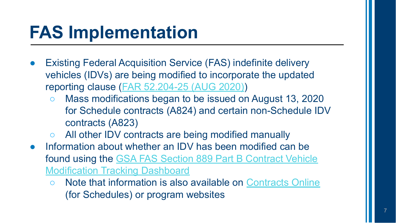## **FAS Implementation**

- **Existing Federal Acquisition Service (FAS) indefinite delivery** vehicles (IDVs) are being modified to incorporate the updated reporting clause ([FAR 52.204-25 \(AUG 2020\)](https://www.acquisition.gov/far/part-52#FAR_52_204_25))
	- Mass modifications began to be issued on August 13, 2020 for Schedule contracts (A824) and certain non-Schedule IDV contracts (A823)
	- All other IDV contracts are being modified manually
- Information about whether an IDV has been modified can be found using the [GSA FAS Section 889 Part B Contract Vehicle](https://d2d.gsa.gov/report/gsa-fas-889-part-b-contract-vehicle-modification-tracking-dashboard) [Modification Tracking Dashboard](https://d2d.gsa.gov/report/gsa-fas-889-part-b-contract-vehicle-modification-tracking-dashboard)
	- Note that information is also available on [Contracts Online](https://www.gsaelibrary.gsa.gov/ElibMain/contractsOnline.do?scheduleNumber=MAS) (for Schedules) or program websites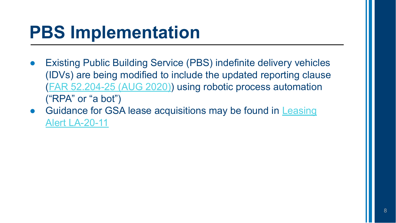## **PBS Implementation**

- **Existing Public Building Service (PBS) indefinite delivery vehicles** (IDVs) are being modified to include the updated reporting clause ([FAR 52.204-25 \(AUG 2020\)](https://www.acquisition.gov/far/part-52#FAR_52_204_25)) using robotic process automation ("RPA" or "a bot")
- Guidance for GSA lease acquisitions may be found in [Leasing](https://www.gsa.gov/cdnstatic/Real_Estate_Acquisitions/Leasing_Alert_LA-20-11_Section_889_Parts_A_and_B.pdf) [Alert LA-20-11](https://www.gsa.gov/cdnstatic/Real_Estate_Acquisitions/Leasing_Alert_LA-20-11_Section_889_Parts_A_and_B.pdf)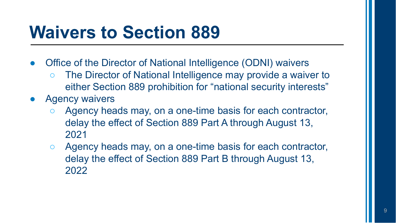#### **Waivers to Section 889**

- Office of the Director of National Intelligence (ODNI) waivers
	- The Director of National Intelligence may provide a waiver to either Section 889 prohibition for "national security interests"
- **Agency waivers** 
	- Agency heads may, on a one-time basis for each contractor, delay the effect of Section 889 Part A through August 13, 2021
	- Agency heads may, on a one-time basis for each contractor, delay the effect of Section 889 Part B through August 13, 2022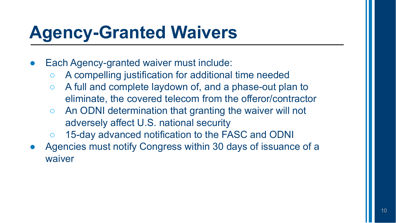## **Agency-Granted Waivers**

- Each Agency-granted waiver must include:
	- A compelling justification for additional time needed
	- A full and complete laydown of, and a phase-out plan to eliminate, the covered telecom from the offeror/contractor
	- An ODNI determination that granting the waiver will not adversely affect U.S. national security
	- 15-day advanced notification to the FASC and ODNI
- Agencies must notify Congress within 30 days of issuance of a waiver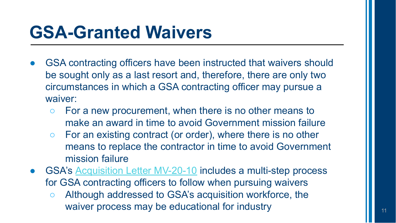### **GSA-Granted Waivers**

- GSA contracting officers have been instructed that waivers should be sought only as a last resort and, therefore, there are only two circumstances in which a GSA contracting officer may pursue a waiver:
	- For a new procurement, when there is no other means to make an award in time to avoid Government mission failure
	- For an existing contract (or order), where there is no other means to replace the contractor in time to avoid Government mission failure
- GSA's [Acquisition Letter MV-20-10](https://www.gsa.gov/cdnstatic/MV-20-10_0.pdf) includes a multi-step process for GSA contracting officers to follow when pursuing waivers
	- Although addressed to GSA's acquisition workforce, the waiver process may be educational for industry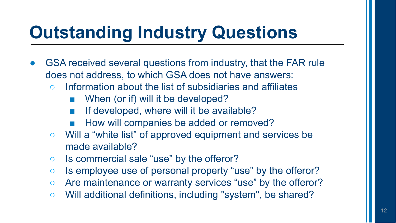## **Outstanding Industry Questions**

- GSA received several questions from industry, that the FAR rule does not address, to which GSA does not have answers:
	- Information about the list of subsidiaries and affiliates
		- When (or if) will it be developed?
		- If developed, where will it be available?
		- How will companies be added or removed?
	- Will a "white list" of approved equipment and services be made available?
	- Is commercial sale "use" by the offeror?
	- Is employee use of personal property "use" by the offeror?
	- Are maintenance or warranty services "use" by the offeror?
	- Will additional definitions, including "system", be shared?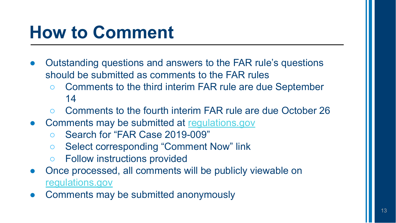#### **How to Comment**

- Outstanding questions and answers to the FAR rule's questions should be submitted as comments to the FAR rules
	- Comments to the third interim FAR rule are due September 14
	- Comments to the fourth interim FAR rule are due October 26
- Comments may be submitted at [regulations.gov](http://www.regulations.gov)
	- Search for "FAR Case 2019-009"
	- Select corresponding "Comment Now" link
	- Follow instructions provided
- Once processed, all comments will be publicly viewable on [regulations.gov](https://www.regulations.gov/)
- Comments may be submitted anonymously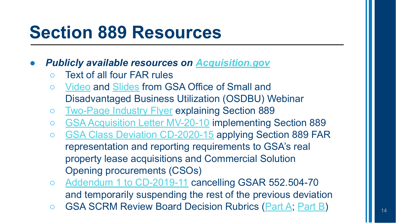#### **Section 889 Resources**

- *● Publicly available resources on [Acquisition.gov](https://www.acquisition.gov/FAR-Case-2019-009/889_Part_B)*
	- Text of all four FAR rules
	- [Video](https://www.youtube.com/watch?v=GJr5niqIidE) and [Slides](https://www.acquisition.gov/sites/default/files/page_file_uploads/Section-889-Explanation-1.pdf) from GSA Office of Small and Disadvantaged Business Utilization (OSDBU) Webinar
	- o [Two-Page Industry Flyer](https://www.acquisition.gov/sites/default/files/page_file_uploads/889-Flyer-Approved.pdf) explaining Section 889
	- [GSA Acquisition Letter MV-20-10](http://gsa.gov/node/136949) implementing Section 889
	- [GSA Class Deviation CD-2020-15](https://gsa.gov/node/136882) applying Section 889 FAR representation and reporting requirements to GSA's real property lease acquisitions and Commercial Solution Opening procurements (CSOs)
	- [Addendum 1 to CD-2019-11](http://gsa.gov/node/126065) cancelling GSAR 552.504-70 and temporarily suspending the rest of the previous deviation
	- GSA SCRM Review Board Decision Rubrics ([Part A](https://www.gsa.gov/node/137295); [Part B](https://www.gsa.gov/node/137296))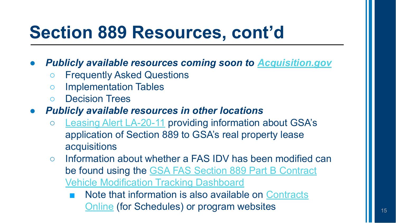### **Section 889 Resources, cont'd**

- **Publicly available resources coming soon to <b>***[Acquisition.gov](https://www.acquisition.gov/FAR-Case-2019-009/889_Part_B)* 
	- Frequently Asked Questions
	- Implementation Tables
	- Decision Trees
- *● Publicly available resources in other locations*
	- [Leasing Alert LA-20-11](https://www.gsa.gov/real-estate/real-estate-services/leasing-policy-procedures/policy-and-tools/policy/leasing-desk-guide-and-other-policy-information/leasing-alerts-and-lease-acquisition-circulars-lac) providing information about GSA's application of Section 889 to GSA's real property lease acquisitions
	- Information about whether a FAS IDV has been modified can be found using the [GSA FAS Section 889 Part B Contract](https://d2d.gsa.gov/report/gsa-fas-889-part-b-contract-vehicle-modification-tracking-dashboard) [Vehicle Modification Tracking Dashboard](https://d2d.gsa.gov/report/gsa-fas-889-part-b-contract-vehicle-modification-tracking-dashboard)
		- Note that information is also available on [Contracts](https://www.gsaelibrary.gsa.gov/ElibMain/contractsOnline.do?scheduleNumber=MAS) [Online](https://www.gsaelibrary.gsa.gov/ElibMain/contractsOnline.do?scheduleNumber=MAS) (for Schedules) or program websites